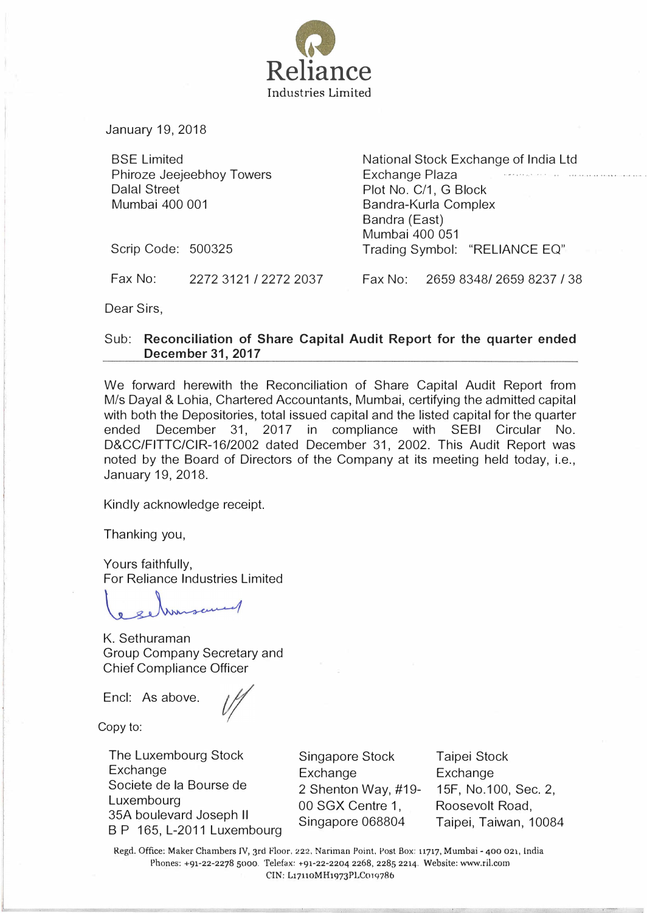

January 19, 2018

BSE Limited Phiroze Jeejeebhoy Towers Dalal Street Mumbai 400 001

National Stock Exchange of India Ltd Exchange Plaza Plot No. C/1, G Block Bandra-Kurla Complex Bandra (East) Mumbai 400 051 Trading Symbol: "RELIANCE EQ"

Scrip Code: 500325

Fax No: 2272 3121 I 2272 2037 Fax No: 2659 83481 2659 8237 I 38

Dear Sirs,

## Sub: Reconciliation of Share Capital Audit Report for the quarter ended December 31, 2017

We forward herewith the Reconciliation of Share Capital Audit Report from M/s Dayal & Lohia, Chartered Accountants, Mumbai, certifying the admitted capital with both the Depositories, total issued capital and the listed capital for the quarter ended December 31, 2017 in compliance with SEBI Circular No. D&CCIFITTCICIR-1612002 dated December 31, 2002. This Audit Report was noted by the Board of Directors of the Company at its meeting held today, i.e., January 19, 2018.

Kindly acknowledge receipt.

Thanking you,

Yours faithfully, For Reliance Industries Limited

K. Sethuraman Group Company Secretary and Chief Compliance Officer

Encl: As above.

Copy to:

The Luxembourg Stock Exchange Societe de Ia Bourse de Luxembourg 35A boulevard Joseph II 8 P 165, L-2011 Luxembourg

Singapore Stock Exchange 2 Shenton Way, #19- 00 SGX Centre 1, Singapore 068804

Taipei Stock **Exchange** 15F, No.1 00, Sec. 2, Roosevelt Road, Taipei, Taiwan, 10084

Regd. Office: Maker Chambers IV, 3rd Floor, 222. Nariman Point, Post Box: 11717, Mumbai- 400 021, india Phones: +91-22-2278 sooo. Telefax: +91-22-2204 2268, 2285 2214. Website: www.ril.com CIN: L17110MH1973PLC019786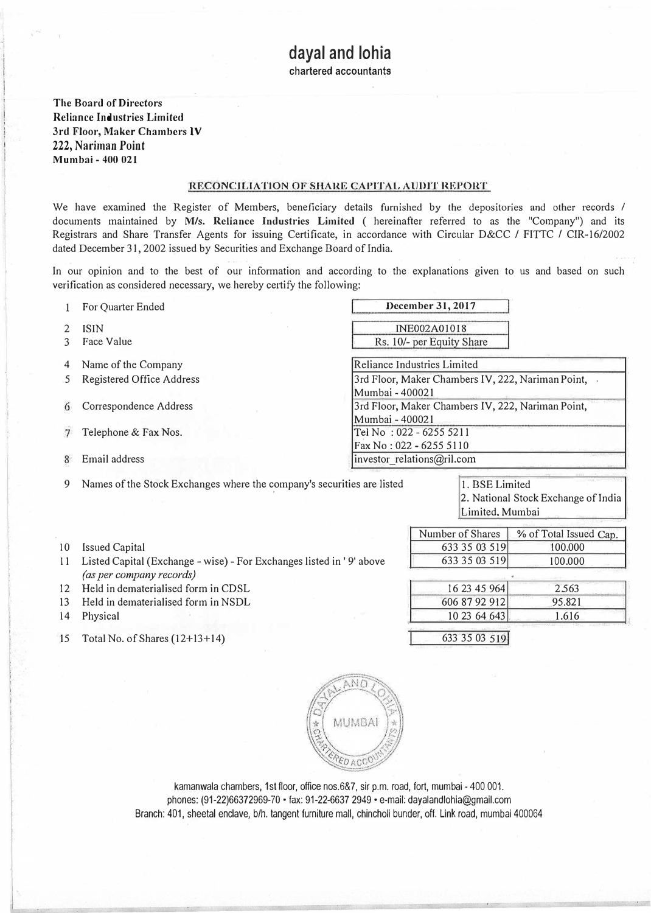chartered accountants

The Board of Directors Reliance Industries Limited 3rd Floor, Maker Chambers IV 222, Nariman Point Mumbai- 400 021

## RECONCILIATION OF SHARE CAPITAL AUDIT REPORT

We have examined the Register of Members, beneficiary details furnished by the depositories and other records / documents maintained by M/s. Reliance Industries Limited ( hereinafter referred to as the "Company") and its Registrars and Share Transfer Agents for issuing Certificate, in accordance with Circular D&CC / FITTC / CIR-16/2002 dated December 31, 2002 issued by Securities and Exchange Board of India.

In our opinion and to the best of our information and according to the explanations given to us and based on such verification as considered necessary, we hereby certify the following:

For Quarter Ended December 31, 2017  $\mathbf{1}$ INE002A01018 2 ISIN Rs. 10/- per Equity Share 3 Face Value 4 Name of the Company and Reliance Industries Limited 5 Registered Office Address 3rd Floor, Maker Chambers IV, 222, Nariman Point, Mumbai - 400021 6 Correspondence Address 3rd Floor, Maker Chambers IV, 222, Nariman Point, Mumbai- 400021 7 Telephone & Fax Nos. Tel No : 022 - 6255 5211 Fax No: 022 - 6255 5110 8 Email address investor relations  $\omega$  investor relations  $\omega$  relations  $\omega$  investor relations  $\omega$  relations  $\omega$  investor relations  $\omega$  investor relations  $\omega$  in

9 Names of the Stock Exchanges where the company's securities are listed 1. BSE Limited

2. National Stock Exchange of India Limited, Mumbai

> %of Total Issued Cap. '!00.000 100.000

> > 2.563 95.821 1. 616

Number of Shares 633 35 03 519 633 35 03 519

> 16 23 45 964 606 87 92 912 10 23 64 643

633 35 03 5191

- 10 Issued Capital
- 11 Listed Capital (Exchange- wise)- For Exchanges listed in ' 9' above (as per company records)
- 12 Held in dematerialised form in CDSL
- 13 Held in dematerialised form in NSDL
- 14 Physical
- ·15 Total No. of Shares (12+13+14)



kamanwala chambers, 1st floor, office nos.6&7, sir p.m. road, fort, mumbai- 400 001. phones: (91-22)66372969-70 ·fax: 91-22-6637 2949 ·e-mail: dayalandlohia@gmail.com Branch: 401, sheetal enclave, b/h. tangent furniture mall, chincholi bunder, off. Link road, mumbai 400064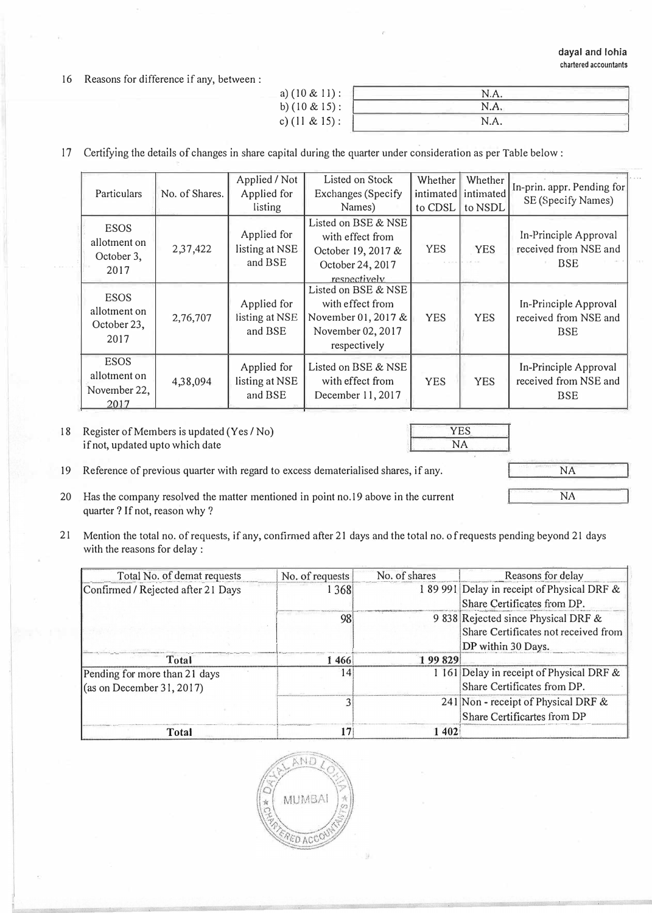16 Reasons for difference if any, between :

| N.A. |  |
|------|--|
| N.A. |  |
| N.A. |  |
|      |  |

17 Certifying the details of changes in share capital during the quarter under consideration as per Table below :

| Particulars                                        | No. of Shares. | Applied / Not  | Listed on Stock     | Whether    | Whether    | In-prin. appr. Pending for |
|----------------------------------------------------|----------------|----------------|---------------------|------------|------------|----------------------------|
|                                                    |                | Applied for    | Exchanges (Specify  | intimated  | intimated  | SE (Specify Names)         |
|                                                    |                | listing        | Names)              | to CDSL    | to NSDL    |                            |
| <b>ESOS</b><br>allotment on<br>October 3,<br>2017  |                |                | Listed on BSE & NSE |            |            |                            |
|                                                    |                | Applied for    | with effect from    |            |            | In-Principle Approval      |
|                                                    | 2,37,422       | listing at NSE | October 19, 2017 &  | <b>YES</b> | <b>YES</b> | received from NSE and      |
|                                                    |                | and BSE        | October 24, 2017    |            |            | <b>BSE</b>                 |
|                                                    |                |                | respectively        |            |            |                            |
| <b>ESOS</b><br>allotment on<br>October 23,<br>2017 | 2,76,707       |                | Listed on BSE & NSE |            |            |                            |
|                                                    |                | Applied for    | with effect from    |            |            | In-Principle Approval      |
|                                                    |                | listing at NSE | November 01, 2017 & | <b>YES</b> | <b>YES</b> | received from NSE and      |
|                                                    |                | and BSE        | November 02, 2017   |            |            | <b>BSE</b>                 |
|                                                    |                |                | respectively        |            |            |                            |
| <b>ESOS</b>                                        |                | Applied for    | Listed on BSE & NSE |            |            |                            |
| allotment on                                       |                |                |                     |            |            | In-Principle Approval      |
| November 22,                                       | 4,38,094       | listing at NSE | with effect from    | <b>YES</b> | <b>YES</b> | received from NSE and      |
| 2017                                               |                | and BSE        | December 11, 2017   |            |            | <b>BSE</b>                 |
|                                                    |                |                |                     |            |            |                            |

18 Register of Members is updated (Yes / No) if not, updated upto which date

YES NA 1

- I NA
- 19 Reference of previous quarter with regard to excess dematerialised shares, if any.
- 20 Has the company resolved the matter mentioned in point no. 19 above in the current quarter? If not, reason why ?
- 21 Mention the total no. of requests, if any, confirmed after 21 days and the total no. of requests pending beyond 21 days with the reasons for delay :

| Total No. of demat requests                                         | No. of requests | No. of shares | Reasons for delay                                                                                 |
|---------------------------------------------------------------------|-----------------|---------------|---------------------------------------------------------------------------------------------------|
| Confirmed / Rejected after 21 Days                                  | 1 3 6 8         |               | 189 991 Delay in receipt of Physical DRF &<br>Share Certificates from DP.                         |
|                                                                     | 98              |               | 9 838 Rejected since Physical DRF &<br>Share Certificates not received from<br>DP within 30 Days. |
| Total                                                               | 1 466           | 199829        |                                                                                                   |
| Pending for more than 21 days<br>$\alpha$ (as on December 31, 2017) | 14              |               | 1 161 Delay in receipt of Physical DRF &<br>Share Certificates from DP.                           |
|                                                                     |                 |               | 241 Non - receipt of Physical DRF &<br>Share Certificartes from DP                                |
| Total                                                               |                 | 1402          |                                                                                                   |